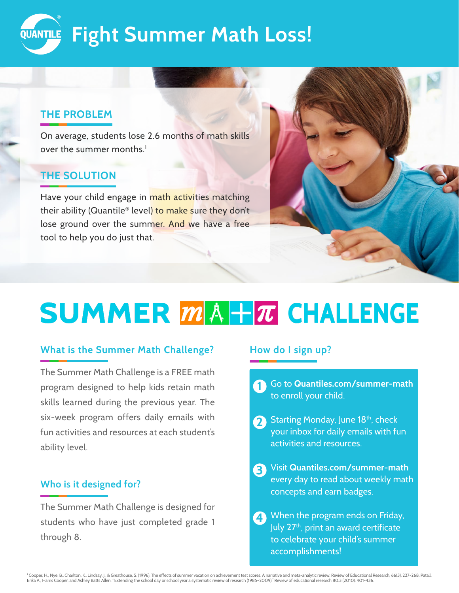

## **THE PROBLEM**

On average, students lose 2.6 months of math skills over the summer months.<sup>1</sup>

# **THE SOLUTION**

Have your child engage in math activities matching their ability (Quantile® level) to make sure they don't lose ground over the summer. And we have a free tool to help you do just that.



# **SUMMER MA+T CHALLENGE**

## **What is the Summer Math Challenge?**

The Summer Math Challenge is a FREE math program designed to help kids retain math skills learned during the previous year. The six-week program offers daily emails with fun activities and resources at each student's ability level.

## **Who is it designed for?**

The Summer Math Challenge is designed for students who have just completed grade 1 through 8.

## **How do I sign up?**

Go to **[Quantiles.com/summer-math](http://Quantiles.com/summer-math)** to enroll your child. **1**

- Starting Monday, June 18<sup>th</sup>, check your inbox for daily emails with fun activities and resources. **2**
- Visit **[Quantiles.com/summer-math](http://Quantiles.com/summer-math)** every day to read about weekly math concepts and earn badges. **3**
- When the program ends on Friday, July 27<sup>th</sup>, print an award certificate to celebrate your child's summer accomplishments! **4**

' Cooper, H., Nye, B., Charlton, K., Lindsay, J., & Greathouse, S. (1996). The effects of summer vacation on achievement test scores: A narrative and meta-analytic review. Review of Educational Research, 66(3), 227-268. Pa Erika A., Harris Cooper, and Ashley Batts Allen. "Extending the school day or school year a systematic review of research (1985–2009)." Review of educational research 80.3 (2010): 401-436.